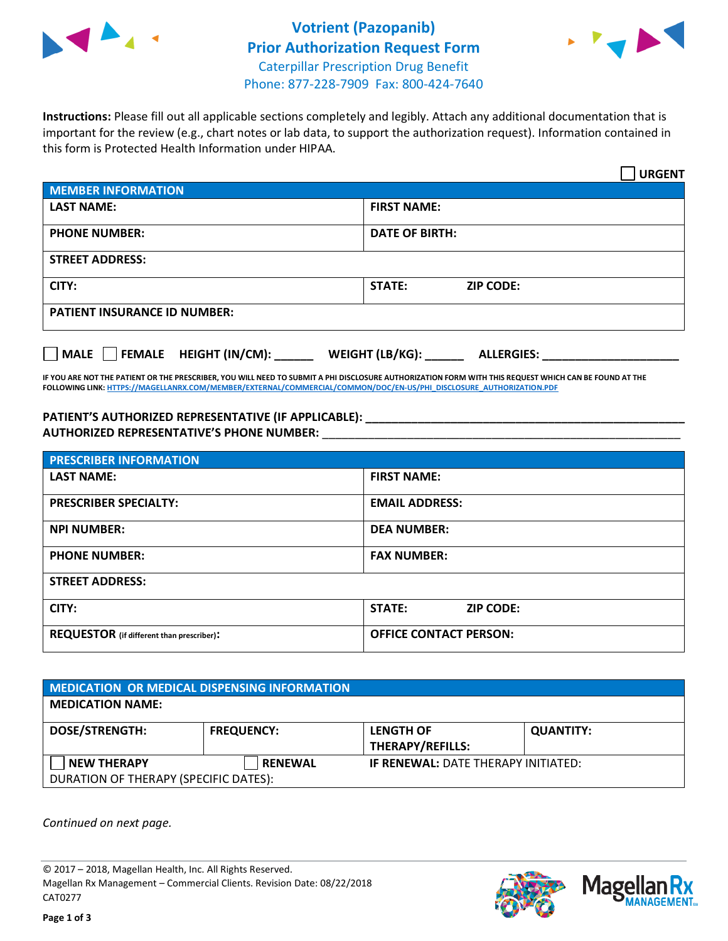



**Instructions:** Please fill out all applicable sections completely and legibly. Attach any additional documentation that is important for the review (e.g., chart notes or lab data, to support the authorization request). Information contained in this form is Protected Health Information under HIPAA.

|                                       | <b>URGENT</b>                        |  |
|---------------------------------------|--------------------------------------|--|
| <b>MEMBER INFORMATION</b>             |                                      |  |
| <b>LAST NAME:</b>                     | <b>FIRST NAME:</b>                   |  |
| <b>PHONE NUMBER:</b>                  | <b>DATE OF BIRTH:</b>                |  |
| <b>STREET ADDRESS:</b>                |                                      |  |
| CITY:                                 | <b>STATE:</b><br><b>ZIP CODE:</b>    |  |
| <b>PATIENT INSURANCE ID NUMBER:</b>   |                                      |  |
| FEMALE HEIGHT (IN/CM):<br><b>MALE</b> | WEIGHT (LB/KG):<br><b>ALLERGIES:</b> |  |

**IF YOU ARE NOT THE PATIENT OR THE PRESCRIBER, YOU WILL NEED TO SUBMIT A PHI DISCLOSURE AUTHORIZATION FORM WITH THIS REQUEST WHICH CAN BE FOUND AT THE FOLLOWING LINK[: HTTPS://MAGELLANRX.COM/MEMBER/EXTERNAL/COMMERCIAL/COMMON/DOC/EN-US/PHI\\_DISCLOSURE\\_AUTHORIZATION.PDF](https://magellanrx.com/member/external/commercial/common/doc/en-us/PHI_Disclosure_Authorization.pdf)**

**PATIENT'S AUTHORIZED REPRESENTATIVE (IF APPLICABLE): \_\_\_\_\_\_\_\_\_\_\_\_\_\_\_\_\_\_\_\_\_\_\_\_\_\_\_\_\_\_\_\_\_\_\_\_\_\_\_\_\_\_\_\_\_\_\_\_\_ AUTHORIZED REPRESENTATIVE'S PHONE NUMBER:** \_\_\_\_\_\_\_\_\_\_\_\_\_\_\_\_\_\_\_\_\_\_\_\_\_\_\_\_\_\_\_\_\_\_\_\_\_\_\_\_\_\_\_\_\_\_\_\_\_\_\_\_\_\_\_

| <b>PRESCRIBER INFORMATION</b>             |                               |  |  |  |
|-------------------------------------------|-------------------------------|--|--|--|
| <b>LAST NAME:</b>                         | <b>FIRST NAME:</b>            |  |  |  |
| <b>PRESCRIBER SPECIALTY:</b>              | <b>EMAIL ADDRESS:</b>         |  |  |  |
| <b>NPI NUMBER:</b>                        | <b>DEA NUMBER:</b>            |  |  |  |
| <b>PHONE NUMBER:</b>                      | <b>FAX NUMBER:</b>            |  |  |  |
| <b>STREET ADDRESS:</b>                    |                               |  |  |  |
| CITY:                                     | STATE:<br><b>ZIP CODE:</b>    |  |  |  |
| REQUESTOR (if different than prescriber): | <b>OFFICE CONTACT PERSON:</b> |  |  |  |

| <b>MEDICATION OR MEDICAL DISPENSING INFORMATION</b> |                   |                                            |                  |  |  |
|-----------------------------------------------------|-------------------|--------------------------------------------|------------------|--|--|
| <b>MEDICATION NAME:</b>                             |                   |                                            |                  |  |  |
| <b>DOSE/STRENGTH:</b>                               | <b>FREQUENCY:</b> | <b>LENGTH OF</b>                           | <b>QUANTITY:</b> |  |  |
|                                                     |                   | <b>THERAPY/REFILLS:</b>                    |                  |  |  |
| <b>NEW THERAPY</b>                                  | <b>RENEWAL</b>    | <b>IF RENEWAL: DATE THERAPY INITIATED:</b> |                  |  |  |
| DURATION OF THERAPY (SPECIFIC DATES):               |                   |                                            |                  |  |  |

*Continued on next page.*

© 2017 – 2018, Magellan Health, Inc. All Rights Reserved. Magellan Rx Management – Commercial Clients. Revision Date: 08/22/2018 CAT0277



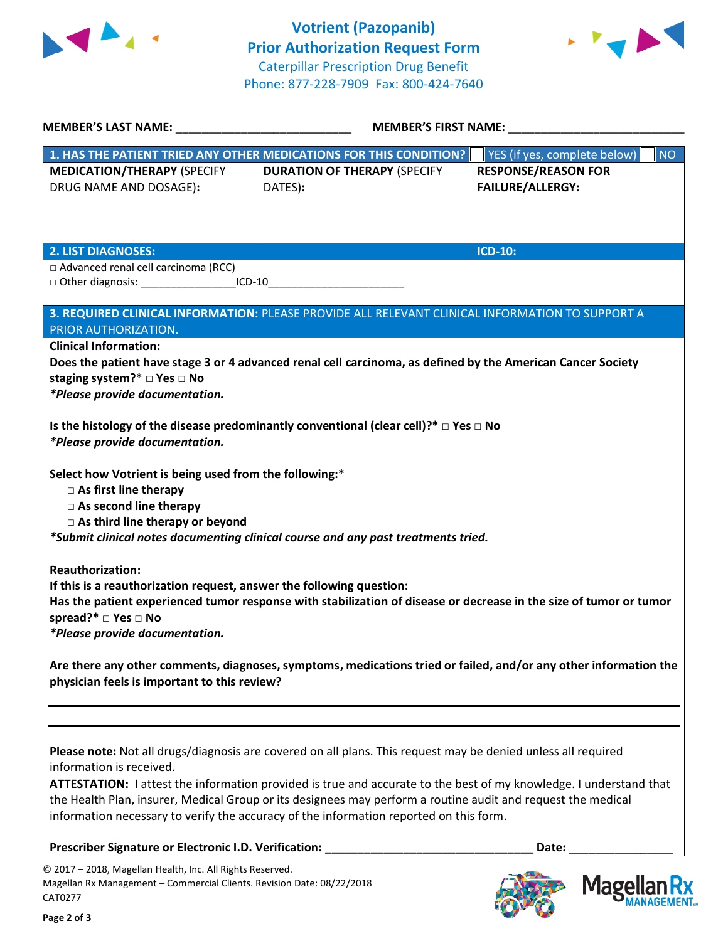



| MEMBER'S LAST NAME: NAME:                                                                                                                                                                                                                                                                                                                                                                                                                                                                     | <b>MEMBER'S FIRST NAME:</b>                                                                                                                                                                                                                                                                                                                                                                                                                   |                                                       |
|-----------------------------------------------------------------------------------------------------------------------------------------------------------------------------------------------------------------------------------------------------------------------------------------------------------------------------------------------------------------------------------------------------------------------------------------------------------------------------------------------|-----------------------------------------------------------------------------------------------------------------------------------------------------------------------------------------------------------------------------------------------------------------------------------------------------------------------------------------------------------------------------------------------------------------------------------------------|-------------------------------------------------------|
|                                                                                                                                                                                                                                                                                                                                                                                                                                                                                               | 1. HAS THE PATIENT TRIED ANY OTHER MEDICATIONS FOR THIS CONDITION?                                                                                                                                                                                                                                                                                                                                                                            | YES (if yes, complete below)<br><b>NO</b>             |
| <b>MEDICATION/THERAPY (SPECIFY</b><br>DRUG NAME AND DOSAGE):                                                                                                                                                                                                                                                                                                                                                                                                                                  | <b>DURATION OF THERAPY (SPECIFY</b><br>DATES):                                                                                                                                                                                                                                                                                                                                                                                                | <b>RESPONSE/REASON FOR</b><br><b>FAILURE/ALLERGY:</b> |
| <b>2. LIST DIAGNOSES:</b>                                                                                                                                                                                                                                                                                                                                                                                                                                                                     |                                                                                                                                                                                                                                                                                                                                                                                                                                               | <b>ICD-10:</b>                                        |
| □ Advanced renal cell carcinoma (RCC)<br>□ Other diagnosis: _________________________ICD-10_____________________________                                                                                                                                                                                                                                                                                                                                                                      |                                                                                                                                                                                                                                                                                                                                                                                                                                               |                                                       |
| PRIOR AUTHORIZATION.                                                                                                                                                                                                                                                                                                                                                                                                                                                                          | 3. REQUIRED CLINICAL INFORMATION: PLEASE PROVIDE ALL RELEVANT CLINICAL INFORMATION TO SUPPORT A                                                                                                                                                                                                                                                                                                                                               |                                                       |
| staging system?* □ Yes □ No<br>*Please provide documentation.<br>*Please provide documentation.<br>Select how Votrient is being used from the following:*<br>$\Box$ As first line therapy<br>$\square$ As second line therapy<br>$\Box$ As third line therapy or beyond<br><b>Reauthorization:</b><br>If this is a reauthorization request, answer the following question:<br>spread?* $\Box$ Yes $\Box$ No<br>*Please provide documentation.<br>physician feels is important to this review? | Is the histology of the disease predominantly conventional (clear cell)?* $\Box$ Yes $\Box$ No<br>*Submit clinical notes documenting clinical course and any past treatments tried.<br>Has the patient experienced tumor response with stabilization of disease or decrease in the size of tumor or tumor<br>Are there any other comments, diagnoses, symptoms, medications tried or failed, and/or any other information the                 |                                                       |
| information is received.                                                                                                                                                                                                                                                                                                                                                                                                                                                                      | Please note: Not all drugs/diagnosis are covered on all plans. This request may be denied unless all required<br>ATTESTATION: I attest the information provided is true and accurate to the best of my knowledge. I understand that<br>the Health Plan, insurer, Medical Group or its designees may perform a routine audit and request the medical<br>information necessary to verify the accuracy of the information reported on this form. |                                                       |
| Prescriber Signature or Electronic I.D. Verification:<br>© 2017 - 2018, Magellan Health, Inc. All Rights Reserved.<br>Magellan Rx Management - Commercial Clients. Revision Date: 08/22/2018<br>CAT0277                                                                                                                                                                                                                                                                                       |                                                                                                                                                                                                                                                                                                                                                                                                                                               | Date:<br>Mage                                         |